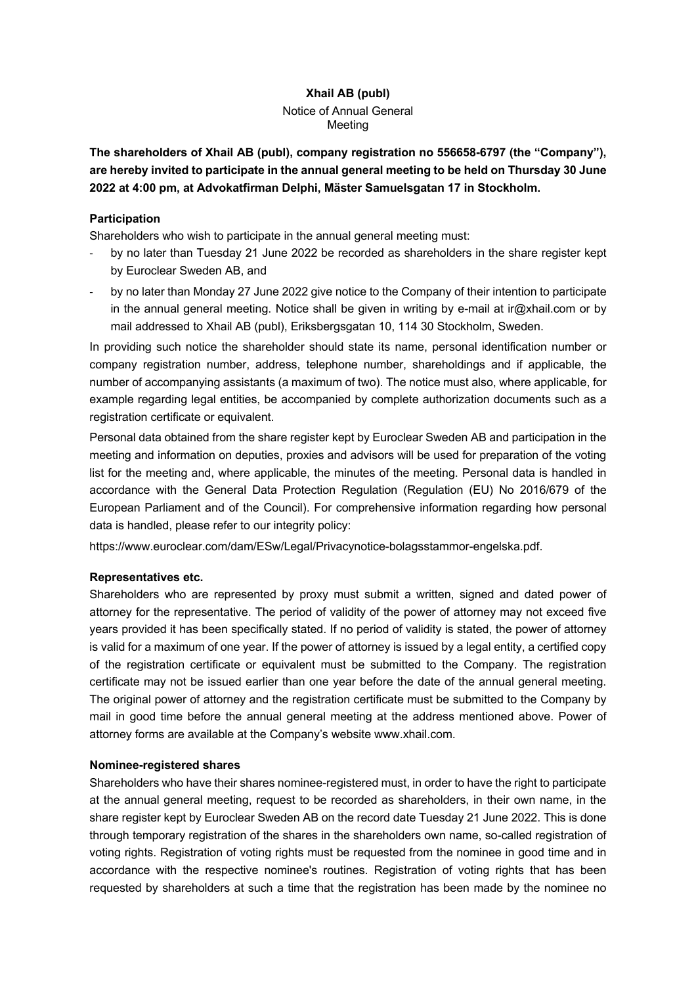# **Xhail AB (publ)**

# Notice of Annual General Meeting

**The shareholders of Xhail AB (publ), company registration no 556658-6797 (the "Company"), are hereby invited to participate in the annual general meeting to be held on Thursday 30 June 2022 at 4:00 pm, at Advokatfirman Delphi, Mäster Samuelsgatan 17 in Stockholm.** 

# **Participation**

Shareholders who wish to participate in the annual general meeting must:

- by no later than Tuesday 21 June 2022 be recorded as shareholders in the share register kept by Euroclear Sweden AB, and
- by no later than Monday 27 June 2022 give notice to the Company of their intention to participate in the annual general meeting. Notice shall be given in writing by e-mail at ir $@x$ hail.com or by mail addressed to Xhail AB (publ), Eriksbergsgatan 10, 114 30 Stockholm, Sweden.

In providing such notice the shareholder should state its name, personal identification number or company registration number, address, telephone number, shareholdings and if applicable, the number of accompanying assistants (a maximum of two). The notice must also, where applicable, for example regarding legal entities, be accompanied by complete authorization documents such as a registration certificate or equivalent.

Personal data obtained from the share register kept by Euroclear Sweden AB and participation in the meeting and information on deputies, proxies and advisors will be used for preparation of the voting list for the meeting and, where applicable, the minutes of the meeting. Personal data is handled in accordance with the General Data Protection Regulation (Regulation (EU) No 2016/679 of the European Parliament and of the Council). For comprehensive information regarding how personal data is handled, please refer to our integrity policy:

https://www.euroclear.com/dam/ESw/Legal/Privacynotice-bolagsstammor-engelska.pdf.

# **Representatives etc.**

Shareholders who are represented by proxy must submit a written, signed and dated power of attorney for the representative. The period of validity of the power of attorney may not exceed five years provided it has been specifically stated. If no period of validity is stated, the power of attorney is valid for a maximum of one year. If the power of attorney is issued by a legal entity, a certified copy of the registration certificate or equivalent must be submitted to the Company. The registration certificate may not be issued earlier than one year before the date of the annual general meeting. The original power of attorney and the registration certificate must be submitted to the Company by mail in good time before the annual general meeting at the address mentioned above. Power of attorney forms are available at the Company's website www.xhail.com.

# **Nominee-registered shares**

Shareholders who have their shares nominee-registered must, in order to have the right to participate at the annual general meeting, request to be recorded as shareholders, in their own name, in the share register kept by Euroclear Sweden AB on the record date Tuesday 21 June 2022. This is done through temporary registration of the shares in the shareholders own name, so-called registration of voting rights. Registration of voting rights must be requested from the nominee in good time and in accordance with the respective nominee's routines. Registration of voting rights that has been requested by shareholders at such a time that the registration has been made by the nominee no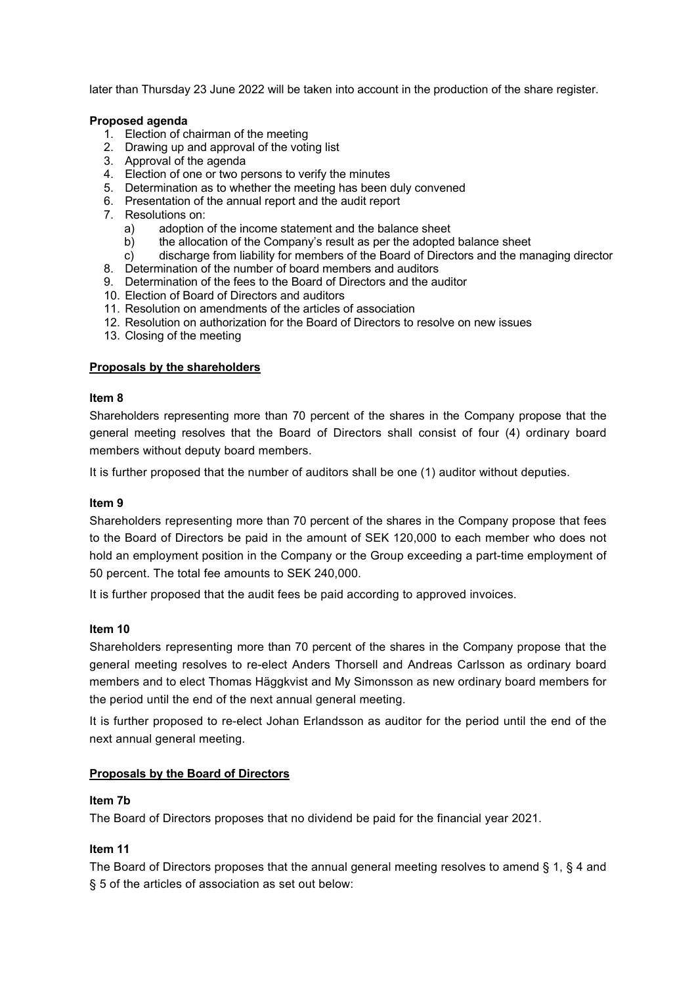later than Thursday 23 June 2022 will be taken into account in the production of the share register.

### **Proposed agenda**

- 1. Election of chairman of the meeting
- 2. Drawing up and approval of the voting list
- 3. Approval of the agenda
- 4. Election of one or two persons to verify the minutes
- 5. Determination as to whether the meeting has been duly convened
- 6. Presentation of the annual report and the audit report
- 7. Resolutions on:
	- a) adoption of the income statement and the balance sheet
	- b) the allocation of the Company's result as per the adopted balance sheet
	- c) discharge from liability for members of the Board of Directors and the managing director
- 8. Determination of the number of board members and auditors
- 9. Determination of the fees to the Board of Directors and the auditor
- 10. Election of Board of Directors and auditors
- 11. Resolution on amendments of the articles of association
- 12. Resolution on authorization for the Board of Directors to resolve on new issues
- 13. Closing of the meeting

### **Proposals by the shareholders**

#### **Item 8**

Shareholders representing more than 70 percent of the shares in the Company propose that the general meeting resolves that the Board of Directors shall consist of four (4) ordinary board members without deputy board members.

It is further proposed that the number of auditors shall be one (1) auditor without deputies.

#### **Item 9**

Shareholders representing more than 70 percent of the shares in the Company propose that fees to the Board of Directors be paid in the amount of SEK 120,000 to each member who does not hold an employment position in the Company or the Group exceeding a part-time employment of 50 percent. The total fee amounts to SEK 240,000.

It is further proposed that the audit fees be paid according to approved invoices.

#### **Item 10**

Shareholders representing more than 70 percent of the shares in the Company propose that the general meeting resolves to re-elect Anders Thorsell and Andreas Carlsson as ordinary board members and to elect Thomas Häggkvist and My Simonsson as new ordinary board members for the period until the end of the next annual general meeting.

It is further proposed to re-elect Johan Erlandsson as auditor for the period until the end of the next annual general meeting.

# **Proposals by the Board of Directors**

# **Item 7b**

The Board of Directors proposes that no dividend be paid for the financial year 2021.

# **Item 11**

The Board of Directors proposes that the annual general meeting resolves to amend § 1, § 4 and § 5 of the articles of association as set out below: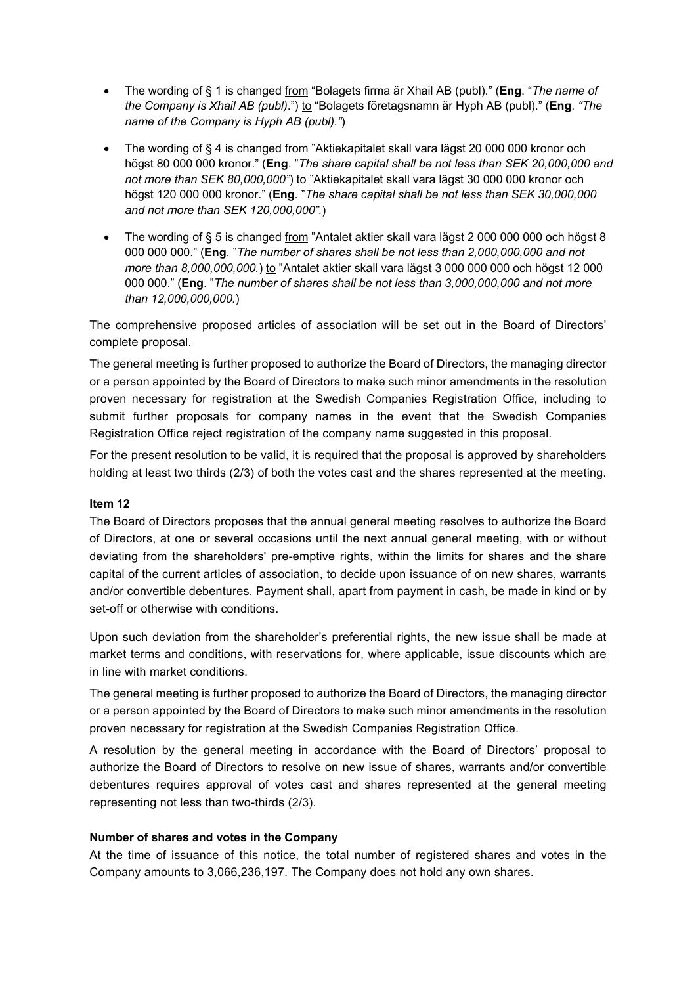- The wording of § 1 is changed from "Bolagets firma är Xhail AB (publ)." (**Eng**. "*The name of the Company is Xhail AB (publ)*.") to "Bolagets företagsnamn är Hyph AB (publ)." (**Eng**. *"The name of the Company is Hyph AB (publ)."*)
- The wording of § 4 is changed from "Aktiekapitalet skall vara lägst 20 000 000 kronor och högst 80 000 000 kronor." (**Eng**. "*The share capital shall be not less than SEK 20,000,000 and not more than SEK 80,000,000"*) to "Aktiekapitalet skall vara lägst 30 000 000 kronor och högst 120 000 000 kronor." (**Eng**. "*The share capital shall be not less than SEK 30,000,000 and not more than SEK 120,000,000".*)
- The wording of § 5 is changed from "Antalet aktier skall vara lägst 2 000 000 000 och högst 8 000 000 000." (**Eng**. "*The number of shares shall be not less than 2,000,000,000 and not more than 8,000,000,000.*) to "Antalet aktier skall vara lägst 3 000 000 000 och högst 12 000 000 000." (**Eng**. "*The number of shares shall be not less than 3,000,000,000 and not more than 12,000,000,000.*)

The comprehensive proposed articles of association will be set out in the Board of Directors' complete proposal.

The general meeting is further proposed to authorize the Board of Directors, the managing director or a person appointed by the Board of Directors to make such minor amendments in the resolution proven necessary for registration at the Swedish Companies Registration Office, including to submit further proposals for company names in the event that the Swedish Companies Registration Office reject registration of the company name suggested in this proposal.

For the present resolution to be valid, it is required that the proposal is approved by shareholders holding at least two thirds (2/3) of both the votes cast and the shares represented at the meeting.

# **Item 12**

The Board of Directors proposes that the annual general meeting resolves to authorize the Board of Directors, at one or several occasions until the next annual general meeting, with or without deviating from the shareholders' pre-emptive rights, within the limits for shares and the share capital of the current articles of association, to decide upon issuance of on new shares, warrants and/or convertible debentures. Payment shall, apart from payment in cash, be made in kind or by set-off or otherwise with conditions.

Upon such deviation from the shareholder's preferential rights, the new issue shall be made at market terms and conditions, with reservations for, where applicable, issue discounts which are in line with market conditions.

The general meeting is further proposed to authorize the Board of Directors, the managing director or a person appointed by the Board of Directors to make such minor amendments in the resolution proven necessary for registration at the Swedish Companies Registration Office.

A resolution by the general meeting in accordance with the Board of Directors' proposal to authorize the Board of Directors to resolve on new issue of shares, warrants and/or convertible debentures requires approval of votes cast and shares represented at the general meeting representing not less than two-thirds (2/3).

# **Number of shares and votes in the Company**

At the time of issuance of this notice, the total number of registered shares and votes in the Company amounts to 3,066,236,197. The Company does not hold any own shares.